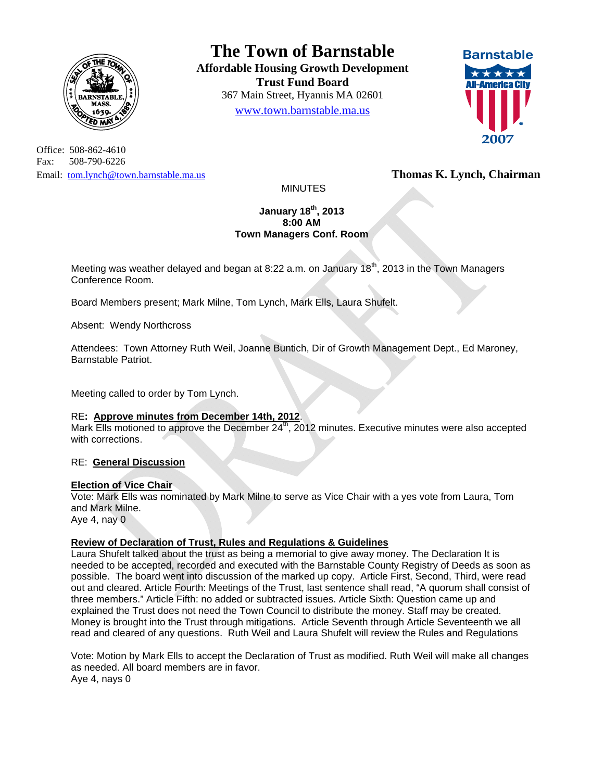

Office: 508-862-4610 Fax: 508-790-6226 Email: tom.lynch@town.barnstable.ma.us **Thomas K. Lynch, Chairman** 

# **The Town of Barnstable**

**Affordable Housing Growth Development Trust Fund Board**  367 Main Street, Hyannis MA 02601 www.town.barnstable.ma.us



MINUTES

#### **January 18th, 2013 8:00 AM Town Managers Conf. Room**

Meeting was weather delayed and began at 8:22 a.m. on January  $18<sup>th</sup>$ , 2013 in the Town Managers Conference Room.

Board Members present; Mark Milne, Tom Lynch, Mark Ells, Laura Shufelt.

Absent: Wendy Northcross

Attendees: Town Attorney Ruth Weil, Joanne Buntich, Dir of Growth Management Dept., Ed Maroney, Barnstable Patriot.

Meeting called to order by Tom Lynch.

#### RE**: Approve minutes from December 14th, 2012**.

Mark Ells motioned to approve the December  $24<sup>th</sup>$ , 2012 minutes. Executive minutes were also accepted with corrections.

## RE: **General Discussion**

#### **Election of Vice Chair**

Vote: Mark Ells was nominated by Mark Milne to serve as Vice Chair with a yes vote from Laura, Tom and Mark Milne. Aye 4, nay 0

## **Review of Declaration of Trust, Rules and Regulations & Guidelines**

Laura Shufelt talked about the trust as being a memorial to give away money. The Declaration It is needed to be accepted, recorded and executed with the Barnstable County Registry of Deeds as soon as possible. The board went into discussion of the marked up copy. Article First, Second, Third, were read out and cleared. Article Fourth: Meetings of the Trust, last sentence shall read, "A quorum shall consist of three members." Article Fifth: no added or subtracted issues. Article Sixth: Question came up and explained the Trust does not need the Town Council to distribute the money. Staff may be created. Money is brought into the Trust through mitigations. Article Seventh through Article Seventeenth we all read and cleared of any questions. Ruth Weil and Laura Shufelt will review the Rules and Regulations

Vote: Motion by Mark Ells to accept the Declaration of Trust as modified. Ruth Weil will make all changes as needed. All board members are in favor. Aye 4, nays 0